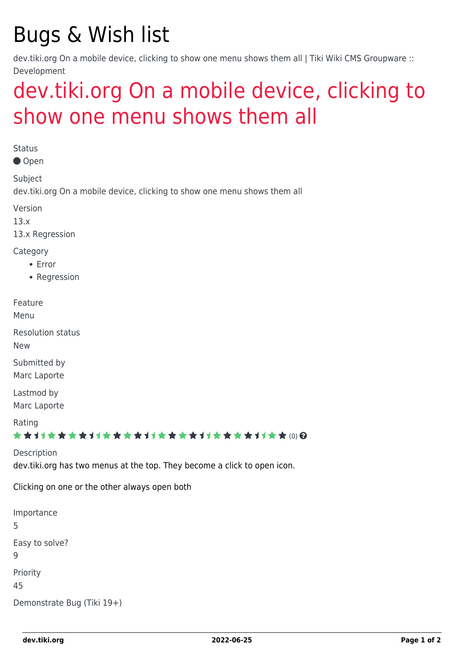# Bugs & Wish list

dev.tiki.org On a mobile device, clicking to show one menu shows them all | Tiki Wiki CMS Groupware :: Development

## [dev.tiki.org On a mobile device, clicking to](https://dev.tiki.org/item5293-dev-tiki-org-On-a-mobile-device-clicking-to-show-one-menu-shows-them-all) [show one menu shows them all](https://dev.tiki.org/item5293-dev-tiki-org-On-a-mobile-device-clicking-to-show-one-menu-shows-them-all)

**Status** 

Open

Subject

dev.tiki.org On a mobile device, clicking to show one menu shows them all

Version

13.x

13.x Regression

Category

- Error
- Regression

Feature

Menu

Resolution status New

Submitted by Marc Laporte

Lastmod by Marc Laporte

Rating

\*\*\*\*\*\*\*\*\*\*\*\*\*\*\*\*\*\*\*\*\*\*\*\*\*\*\*\*\*\*

Description dev.tiki.org has two menus at the top. They become a click to open icon.

Clicking on one or the other always open both

Importance 5 Easy to solve? 9 Priority 45 Demonstrate Bug (Tiki 19+)